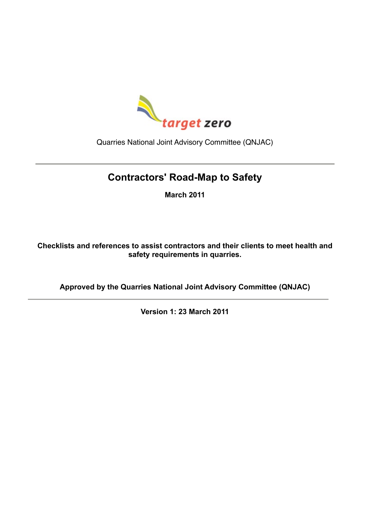

## **Contractors' Road-Map to Safety**

**March 2011**

**Checklists and references to assist contractors and their clients to meet health and safety requirements in quarries.**

**Approved by the Quarries National Joint Advisory Committee (QNJAC)**

**Version 1: 23 March 2011**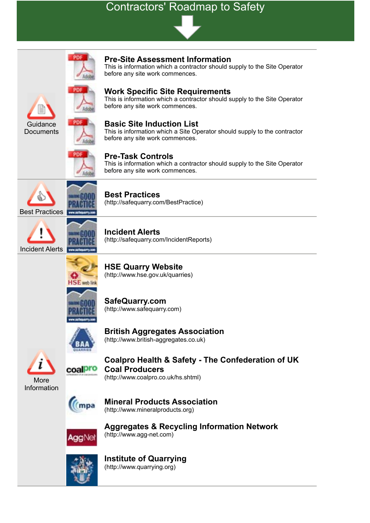### Contractors' Roadmap to Safety





#### **[Pre-Site Assessment Information](#page-2-0)**

This is information which a contractor should supply to the Site Operator before any site work commences.

#### **[Work Specific Site Requirements](#page-3-0)**

This is information which a contractor should supply to the Site Operator before any site work commences.



#### **[Basic Site Induction List](#page-4-0)**

This is information which a Site Operator should supply to the contractor before any site work commences.



#### **[Pre-Task Controls](#page-5-0)**

This is information which a contractor should supply to the Site Operator before any site work commences.



Incident Alerts



**[Best Practices](http://www.safequarry.com/BestPractice.aspx)** [\(http://safequarry.com/BestPractice](http://safequarry.com/BestPractice.aspx))

**[Incident Alerts](http://www.safequarry.com/IncidentReports/IncidentAlert.aspx)** [\(http://safequarry.com/IncidentReports](http://safequarry.com/IncidentReports))

**[HSE Quarry Website](http://www.hse.gov.uk/quarries/index.htm)** [\(http://www.hse.gov.uk/quarries\)](http://www.hse.gov.uk/quarries)



**[SafeQuarry.com](http://www.safequarry.com/)** [\(http://www.safequarry.com](http://www.safequarry.com))



**[British Aggregates Association](http://www.british-aggregates.co.uk/)** [\(http://www.british-aggregates.co.uk](http://www.british-aggregates.co.uk))



Information

**[Coalpro Health & Safety - The Confederation of UK](http://www.coalpro.co.uk/hs.shtml)  [Coal Producers](http://www.coalpro.co.uk/hs.shtml)** [\(http://www.coalpro.co.uk/hs.shtml\)](http://www.coalpro.co.uk/hs.shtml)

coal<sup>pro</sup>

**[Mineral Products Association](http://www.mineralproducts.org/)** [\(http://www.mineralproducts.org\)](http://www.mineralproducts.org)



**[Aggregates & Recycling Information Network](http://www.agg-net.com/)** [\(http://www.agg-net.com\)](http://www.agg-net.com)



**[Institute of Quarrying](http://www.quarrying.org/)** [\(http://www.quarrying.org](http://www.quarrying.org))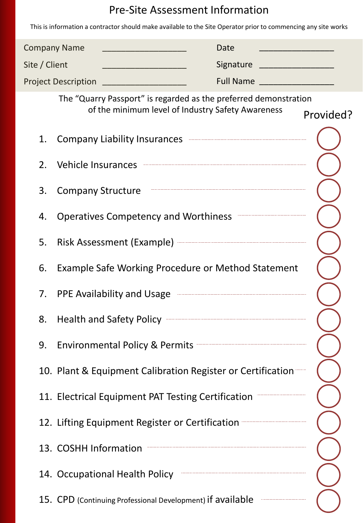## Pre-Site Assessment Information

<span id="page-2-0"></span>This is information a contractor should make available to the Site Operator prior to commencing any site works

| <b>Company Name</b>        | Date             |
|----------------------------|------------------|
| Site / Client              | Signature        |
| <b>Project Description</b> | <b>Full Name</b> |

Provided? The "Quarry Passport" is regarded as the preferred demonstration of the minimum level of Industry Safety Awareness

|    | 1. Company Liability Insurances                                                                                                                                                                                                      |
|----|--------------------------------------------------------------------------------------------------------------------------------------------------------------------------------------------------------------------------------------|
| 2. | Vehicle Insurances                                                                                                                                                                                                                   |
| 3. | <b>Company Structure</b>                                                                                                                                                                                                             |
| 4. | Operatives Competency and Worthiness                                                                                                                                                                                                 |
| 5. | Risk Assessment (Example) <b>Constant (Example</b> )                                                                                                                                                                                 |
|    | 6. Example Safe Working Procedure or Method Statement                                                                                                                                                                                |
|    | 7. PPE Availability and Usage <b>Fig. 2016</b>                                                                                                                                                                                       |
|    | 8. Health and Safety Policy <b>Constant Contract Construct Constant Constant Constant Constant Constant Constant Constant Constant Constant Constant Constant Constant Constant Constant Constant Constant Constant Constant Con</b> |
|    | 9. Environmental Policy & Permits                                                                                                                                                                                                    |
|    | 10. Plant & Equipment Calibration Register or Certification                                                                                                                                                                          |
|    | 11. Electrical Equipment PAT Testing Certification                                                                                                                                                                                   |
|    | 12. Lifting Equipment Register or Certification                                                                                                                                                                                      |
|    | 13. COSHH Information                                                                                                                                                                                                                |
|    | 14. Occupational Health Policy                                                                                                                                                                                                       |
|    | 15. CPD (Continuing Professional Development) if available                                                                                                                                                                           |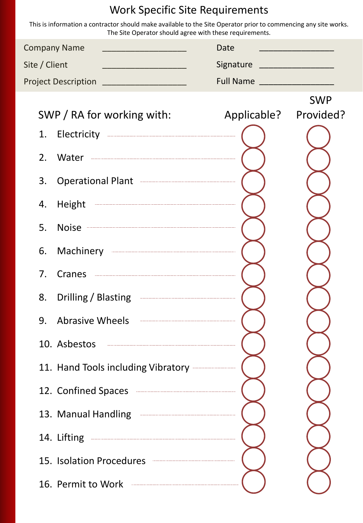# Work Specific Site Requirements

<span id="page-3-0"></span>This is information a contractor should make available to the Site Operator prior to commencing any site works. The Site Operator should agree with these requirements.

| <b>Company Name</b>                                                                                                                                                                                                                                                                                                 | Date                                                                          |                         |
|---------------------------------------------------------------------------------------------------------------------------------------------------------------------------------------------------------------------------------------------------------------------------------------------------------------------|-------------------------------------------------------------------------------|-------------------------|
| <u> 1989 - Johann John Stone, markin biskup fan de ferskearre oant it ferskearre oant it ferskearre oant it fers</u>                                                                                                                                                                                                |                                                                               |                         |
| Site / Client<br><b>Project Description</b><br><u> 1960 - Johann Barn, mars ann an t-</u><br>SWP / RA for working with:<br>Electricity <b>Electricity</b><br>1.<br>2.<br>Water<br>Operational Plant<br>3.<br>4.<br>Noise <b>Noise</b><br>5.<br>6.<br>Machinery <b>Constitution</b> Machinery<br>7.                  | Signature ___________________<br>Full Name ___________________<br>Applicable? | <b>SWP</b><br>Provided? |
| Drilling / Blasting <b>Constitution</b><br>8.<br><b>Abrasive Wheels</b><br>9.<br>10. Asbestos<br>11. Hand Tools including Vibratory <b>Commission</b><br>12. Confined Spaces<br>13. Manual Handling <b>Constanting</b><br>15. Isolation Procedures<br>16. Permit to Work <b>Allen Strategier 16. Permit to Work</b> |                                                                               |                         |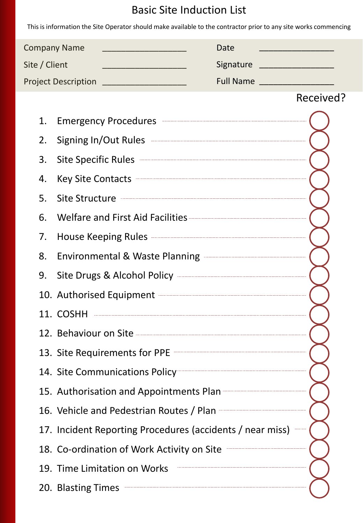## Basic Site Induction List

<span id="page-4-0"></span>This is information the Site Operator should make available to the contractor prior to any site works commencing

| <b>Company Name</b><br>Site / Client |                                                                                                                                                                                                                                      | Date<br>Signature ___________________ |           |
|--------------------------------------|--------------------------------------------------------------------------------------------------------------------------------------------------------------------------------------------------------------------------------------|---------------------------------------|-----------|
|                                      | Project Description ___________________                                                                                                                                                                                              | Full Name                             |           |
|                                      |                                                                                                                                                                                                                                      |                                       | Received? |
| 1.                                   | Emergency Procedures <b>Constant Construction</b>                                                                                                                                                                                    |                                       |           |
| 2.                                   | Signing In/Out Rules <b>Constant Contract Constant Constant Constant Constant Constant Constant Constant Constant Constant Constant Constant Constant Constant Constant Constant Constant Constant Constant Constant Constant Co</b> |                                       |           |
| 3.                                   | Site Specific Rules <b>Constant Contract Constant Constant Constant Constant Constant Constant Constant Constant</b>                                                                                                                 |                                       |           |
| 4.                                   |                                                                                                                                                                                                                                      |                                       |           |
| 5.                                   | Site Structure <b>Constitution</b> Site Structure <b>Constitution</b> Site Structure <b>Constitution</b>                                                                                                                             |                                       |           |
| 6.                                   | Welfare and First Aid Facilities <b>Constitution</b> and Einst Aid Facilities <b>Constitution</b>                                                                                                                                    |                                       |           |
| 7.                                   | House Keeping Rules <b>Manual Accord Relationship Rules</b>                                                                                                                                                                          |                                       |           |
| 8.                                   | Environmental & Waste Planning <b>Constitution</b> Province Constant Province Constant                                                                                                                                               |                                       |           |
| 9.                                   | Site Drugs & Alcohol Policy <b>Constant Contract Constant Constant Constant Constant Constant Constant Constant Constant Constant Constant Constant Constant Constant Constant Constant Constant Constant Constant Constant Cons</b> |                                       |           |
|                                      | 10. Authorised Equipment <b>Constant Construction</b>                                                                                                                                                                                |                                       |           |
|                                      | 11. COSHH                                                                                                                                                                                                                            |                                       |           |
|                                      | 12. Behaviour on Site <b>Commission Contract Contract Contract Contract Contract Contract Contract Contract Contract Contract Contract Contract Contract Contract Contract Contract Contract Contract Contract Contract Contract</b> |                                       |           |
|                                      | 13. Site Requirements for PPE                                                                                                                                                                                                        |                                       |           |
|                                      |                                                                                                                                                                                                                                      |                                       |           |
|                                      | 15. Authorisation and Appointments Plan                                                                                                                                                                                              |                                       |           |
|                                      | 16. Vehicle and Pedestrian Routes / Plan                                                                                                                                                                                             |                                       |           |
|                                      | 17. Incident Reporting Procedures (accidents / near miss) =                                                                                                                                                                          |                                       |           |
|                                      | 18. Co-ordination of Work Activity on Site                                                                                                                                                                                           |                                       |           |
|                                      | 19. Time Limitation on Works                                                                                                                                                                                                         |                                       |           |
|                                      | 20. Blasting Times                                                                                                                                                                                                                   |                                       |           |